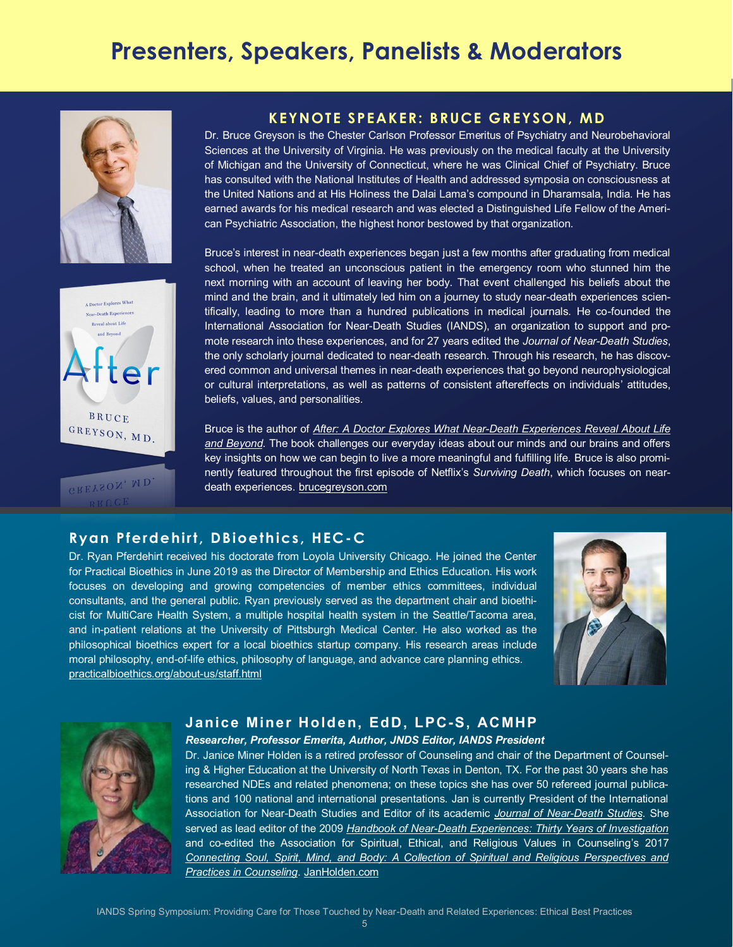# **Presenters, Speakers, Panelists & Moderators**





GREYSON, MD.

# **KEYNOTE SPEAKER: BRUCE GREYSON, MD**

Dr. Bruce Greyson is the Chester Carlson Professor Emeritus of Psychiatry and Neurobehavioral Sciences at the University of Virginia. He was previously on the medical faculty at the University of Michigan and the University of Connecticut, where he was Clinical Chief of Psychiatry. Bruce has consulted with the National Institutes of Health and addressed symposia on consciousness at the United Nations and at His Holiness the Dalai Lama's compound in Dharamsala, India. He has earned awards for his medical research and was elected a Distinguished Life Fellow of the American Psychiatric Association, the highest honor bestowed by that organization.

Bruce's interest in near-death experiences began just a few months after graduating from medical school, when he treated an unconscious patient in the emergency room who stunned him the next morning with an account of leaving her body. That event challenged his beliefs about the mind and the brain, and it ultimately led him on a journey to study near-death experiences scientifically, leading to more than a hundred publications in medical journals. He co-founded the International Association for Near-Death Studies (IANDS), an organization to support and promote research into these experiences, and for 27 years edited the *Journal of Near-Death Studies*, the only scholarly journal dedicated to near-death research. Through his research, he has discovered common and universal themes in near-death experiences that go beyond neurophysiological or cultural interpretations, as well as patterns of consistent aftereffects on individuals' attitudes, beliefs, values, and personalities.

Bruce is the author of *After: A Doctor Explores What Near-Death Experiences Reveal About Life and Beyond*. The book challenges our everyday ideas about our minds and our brains and offers key insights on how we can begin to live a more meaningful and fulfilling life. Bruce is also prominently featured throughout the first episode of Netflix's *Surviving Death*, which focuses on neardeath experiences. brucegreyson.com

# **Ryan Pferdehirt, DBioethics, HEC-C**

Dr. Ryan Pferdehirt received his doctorate from Loyola University Chicago. He joined the Center for Practical Bioethics in June 2019 as the Director of Membership and Ethics Education. His work focuses on developing and growing competencies of member ethics committees, individual consultants, and the general public. Ryan previously served as the department chair and bioethicist for MultiCare Health System, a multiple hospital health system in the Seattle/Tacoma area, and in-patient relations at the University of Pittsburgh Medical Center. He also worked as the philosophical bioethics expert for a local bioethics startup company. His research areas include moral philosophy, end-of-life ethics, philosophy of language, and advance care planning ethics. [practicalbioethics.org/about](practicalbioethics.org/about-us/staff.html)-us/staff.html



## **Janice Miner Holden, EdD, LPC-S, ACMHP** *Researcher, Professor Emerita, Author, JNDS Editor, IANDS President*

Dr. Janice Miner Holden is a retired professor of Counseling and chair of the Department of Counseling & Higher Education at the University of North Texas in Denton, TX. For the past 30 years she has researched NDEs and related phenomena; on these topics she has over 50 refereed journal publications and 100 national and international presentations. Jan is currently President of the International Association for Near-Death Studies and Editor of its academic *[Journal of Near](https://iands.org/research/publications/journal-of-near-death-studies.html)-Death Studies*. She served as lead editor of the 2009 *Handbook of Near-[Death Experiences: Thirty Years of Investigation](https://www.amazon.com/Handbook-Near-Death-Experiences-Thirty-Investigation/dp/0313358648)* and co-edited the Association for Spiritual, Ethical, and Religious Values in Counseling's 2017 *[Connecting Soul, Spirit, Mind, and Body: A Collection of Spiritual and Religious Perspectives and](https://www.amazon.com/Connecting-Soul-Spirit-Mind-Body/dp/1680400088/ref=sr_1_1?dchild=1&keywords=Connecting+Soul%2C+Spirit%2C+Mind%2C+and+Body%3A+A+Collection+of+Spiritual+and+Religious+Perspectives+and+Practices+in+Counseling&qid=1617344162&s=books&sr=1)  [Practices in Counseling](https://www.amazon.com/Connecting-Soul-Spirit-Mind-Body/dp/1680400088/ref=sr_1_1?dchild=1&keywords=Connecting+Soul%2C+Spirit%2C+Mind%2C+and+Body%3A+A+Collection+of+Spiritual+and+Religious+Perspectives+and+Practices+in+Counseling&qid=1617344162&s=books&sr=1)*. [JanHolden.com](https://www.janholden.com/)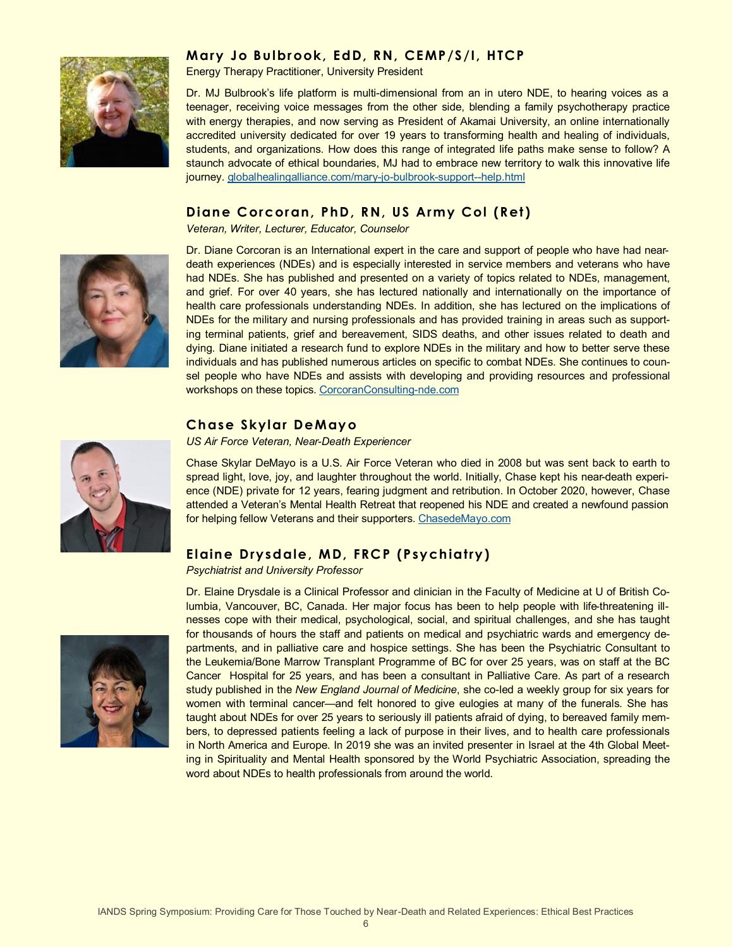# **Mary Jo Bu lbrook, EdD, RN, CEMP/S/I, HTCP**



Energy Therapy Practitioner, University President

Dr. MJ Bulbrook's life platform is multi-dimensional from an in utero NDE, to hearing voices as a teenager, receiving voice messages from the other side, blending a family psychotherapy practice with energy therapies, and now serving as President of Akamai University, an online internationally accredited university dedicated for over 19 years to transforming health and healing of individuals, students, and organizations. How does this range of integrated life paths make sense to follow? A staunch advocate of ethical boundaries, MJ had to embrace new territory to walk this innovative life journey. [globalhealingalliance.com/mary](https://www.globalhealingalliance.com/mary-jo-bulbrook-support--help.html)-jo-bulbrook-support--help.html

# **Dian e Corcoran, PhD, RN, US Army Col (Ret)**

*Veteran, Writer, Lecturer, Educator, Counselor*



Dr. Diane Corcoran is an International expert in the care and support of people who have had neardeath experiences (NDEs) and is especially interested in service members and veterans who have had NDEs. She has published and presented on a variety of topics related to NDEs, management, and grief. For over 40 years, she has lectured nationally and internationally on the importance of health care professionals understanding NDEs. In addition, she has lectured on the implications of NDEs for the military and nursing professionals and has provided training in areas such as supporting terminal patients, grief and bereavement, SIDS deaths, and other issues related to death and dying. Diane initiated a research fund to explore NDEs in the military and how to better serve these individuals and has published numerous articles on specific to combat NDEs. She continues to counsel people who have NDEs and assists with developing and providing resources and professional workshops on these topics. [CorcoranConsulting](https://www.corcoranconsulting-nde.com)-nde.com

## **Ch ase Skylar DeMayo**

*US Air Force Veteran, Near-Death Experiencer*

Chase Skylar DeMayo is a U.S. Air Force Veteran who died in 2008 but was sent back to earth to spread light, love, joy, and laughter throughout the world. Initially, Chase kept his near-death experience (NDE) private for 12 years, fearing judgment and retribution. In October 2020, however, Chase attended a Veteran's Mental Health Retreat that reopened his NDE and created a newfound passion for helping fellow Veterans and their supporters. [ChasedeMayo.com](https://chasedemayo.com)

## **Elain e Drysdale, MD, FRCP (Psych iatry)**

*Psychiatrist and University Professor*

Dr. Elaine Drysdale is a Clinical Professor and clinician in the Faculty of Medicine at U of British Columbia, Vancouver, BC, Canada. Her major focus has been to help people with life-threatening illnesses cope with their medical, psychological, social, and spiritual challenges, and she has taught for thousands of hours the staff and patients on medical and psychiatric wards and emergency departments, and in palliative care and hospice settings. She has been the Psychiatric Consultant to the Leukemia/Bone Marrow Transplant Programme of BC for over 25 years, was on staff at the BC Cancer Hospital for 25 years, and has been a consultant in Palliative Care. As part of a research study published in the *New England Journal of Medicine*, she co-led a weekly group for six years for women with terminal cancer—and felt honored to give eulogies at many of the funerals. She has taught about NDEs for over 25 years to seriously ill patients afraid of dying, to bereaved family members, to depressed patients feeling a lack of purpose in their lives, and to health care professionals in North America and Europe. In 2019 she was an invited presenter in Israel at the 4th Global Meeting in Spirituality and Mental Health sponsored by the World Psychiatric Association, spreading the word about NDEs to health professionals from around the world.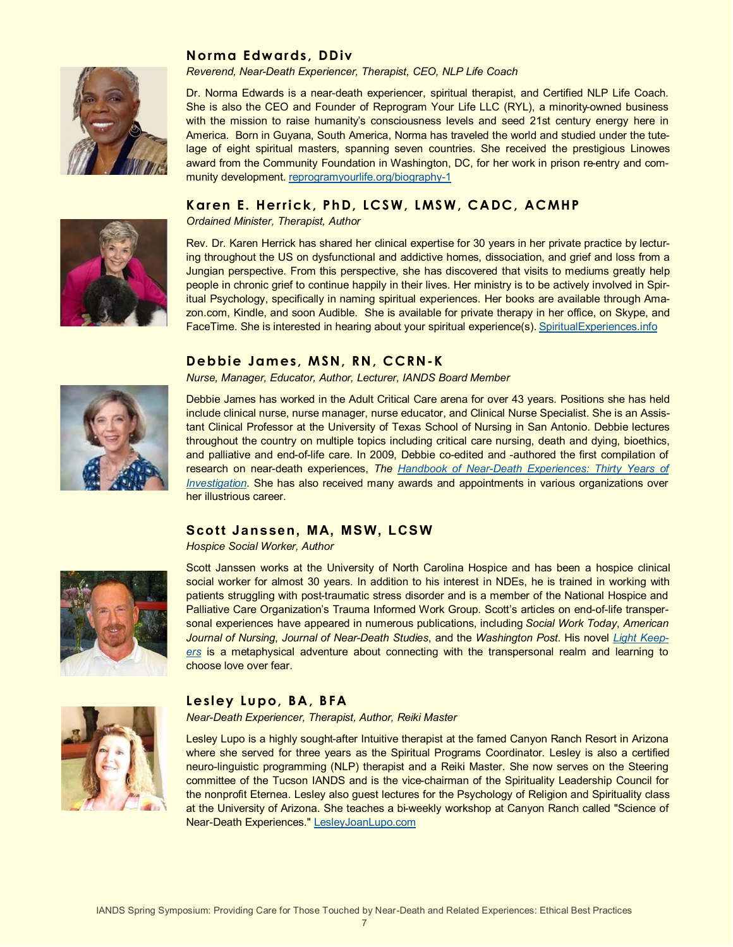

## **Norma Edwards, DDiv**

*Reverend, Near-Death Experiencer, Therapist, CEO, NLP Life Coach*

Dr. Norma Edwards is a near-death experiencer, spiritual therapist, and Certified NLP Life Coach. She is also the CEO and Founder of Reprogram Your Life LLC (RYL), a minority-owned business with the mission to raise humanity's consciousness levels and seed 21st century energy here in America. Born in Guyana, South America, Norma has traveled the world and studied under the tutelage of eight spiritual masters, spanning seven countries. She received the prestigious Linowes award from the Community Foundation in Washington, DC, for her work in prison re-entry and community development. [reprogramyourlife.org/biography](https://reprogramyourlife.org/biography-1)-1

#### Karen E. Herrick, PhD, LCSW, LMSW, CADC, ACMHP

*Ordained Minister, Therapist, Author*

Rev. Dr. Karen Herrick has shared her clinical expertise for 30 years in her private practice by lecturing throughout the US on dysfunctional and addictive homes, dissociation, and grief and loss from a Jungian perspective. From this perspective, she has discovered that visits to mediums greatly help people in chronic grief to continue happily in their lives. Her ministry is to be actively involved in Spiritual Psychology, specifically in naming spiritual experiences. Her books are available through Amazon.com, Kindle, and soon Audible. She is available for private therapy in her office, on Skype, and FaceTime. She is interested in hearing about your spiritual experience(s). [SpiritualExperiences.info](http://www.spiritualexperiences.info)

# **Debbie James, MSN, RN, CCRN-K**

*Nurse, Manager, Educator, Author, Lecturer, IANDS Board Member*



Debbie James has worked in the Adult Critical Care arena for over 43 years. Positions she has held include clinical nurse, nurse manager, nurse educator, and Clinical Nurse Specialist. She is an Assistant Clinical Professor at the University of Texas School of Nursing in San Antonio. Debbie lectures throughout the country on multiple topics including critical care nursing, death and dying, bioethics, and palliative and end-of-life care. In 2009, Debbie co-edited and -authored the first compilation of research on near-death experiences, *The Handbook of Near-[Death Experiences: Thirty Years of](https://www.amazon.com/Handbook-Near-Death-Experiences-Thirty-Investigation/dp/0313358648)  [Investigation](https://www.amazon.com/Handbook-Near-Death-Experiences-Thirty-Investigation/dp/0313358648)*. She has also received many awards and appointments in various organizations over her illustrious career.

#### **Scott Janssen, MA, MSW, LCSW**

*Hospice Social Worker, Author*



Scott Janssen works at the University of North Carolina Hospice and has been a hospice clinical social worker for almost 30 years. In addition to his interest in NDEs, he is trained in working with patients struggling with post-traumatic stress disorder and is a member of the National Hospice and Palliative Care Organization's Trauma Informed Work Group. Scott's articles on end-of-life transpersonal experiences have appeared in numerous publications, including *Social Work Today*, *American Journal of Nursing*, *Journal of Near-Death Studies*, and the *Washington Post*. His novel *[Light Keep](https://www.amazon.com/Light-Keepers-Scott-Janssen/dp/1507897138/ref=sr_1_1?dchild=1&keywords=scott+janssen&qid=1615758998&s=books&sr=1-1)[ers](https://www.amazon.com/Light-Keepers-Scott-Janssen/dp/1507897138/ref=sr_1_1?dchild=1&keywords=scott+janssen&qid=1615758998&s=books&sr=1-1)* is a metaphysical adventure about connecting with the transpersonal realm and learning to choose love over fear.



#### Lesley Lupo, BA, BFA

*Near-Death Experiencer, Therapist, Author, Reiki Master*

Lesley Lupo is a highly sought-after Intuitive therapist at the famed Canyon Ranch Resort in Arizona where she served for three years as the Spiritual Programs Coordinator. Lesley is also a certified neuro-linguistic programming (NLP) therapist and a Reiki Master. She now serves on the Steering committee of the Tucson IANDS and is the vice-chairman of the Spirituality Leadership Council for the nonprofit Eternea. Lesley also guest lectures for the Psychology of Religion and Spirituality class at the University of Arizona. She teaches a bi-weekly workshop at Canyon Ranch called "Science of Near-Death Experiences." [LesleyJoanLupo.com](https://www.LesleyJoanLupo.com)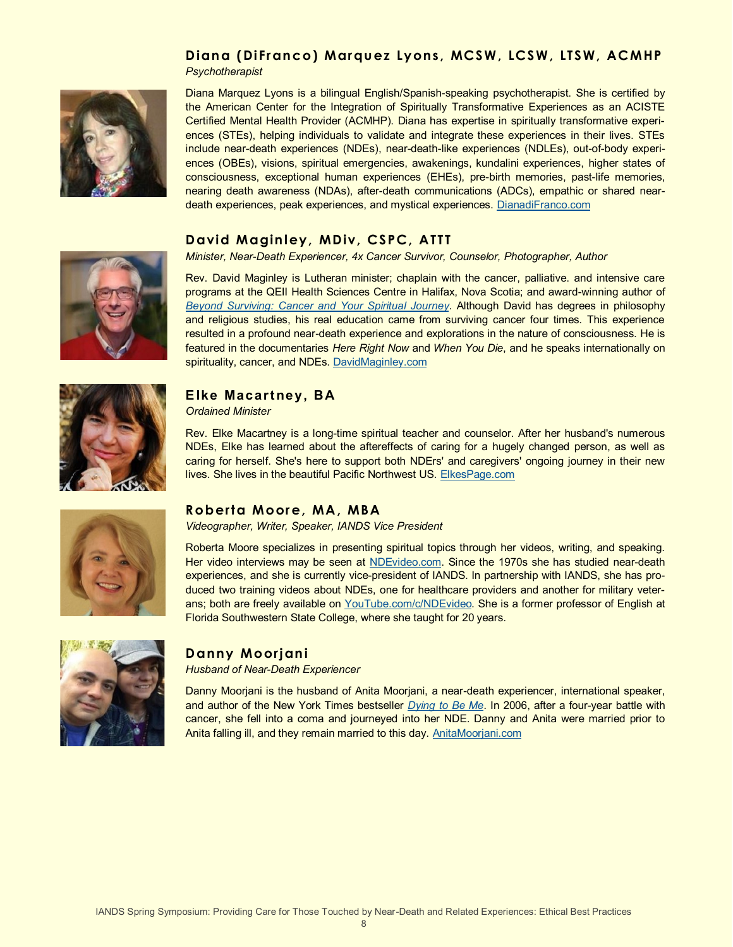# Diana (DiFranco) Marquez Lyons, MCSW, LCSW, LTSW, ACMHP

*Psychotherapist* 



Diana Marquez Lyons is a bilingual English/Spanish-speaking psychotherapist. She is certified by the American Center for the Integration of Spiritually Transformative Experiences as an ACISTE Certified Mental Health Provider (ACMHP). Diana has expertise in spiritually transformative experiences (STEs), helping individuals to validate and integrate these experiences in their lives. STEs include near-death experiences (NDEs), near-death-like experiences (NDLEs), out-of-body experiences (OBEs), visions, spiritual emergencies, awakenings, kundalini experiences, higher states of consciousness, exceptional human experiences (EHEs), pre-birth memories, past-life memories, nearing death awareness (NDAs), after-death communications (ADCs), empathic or shared neardeath experiences, peak experiences, and mystical experiences. [DianadiFranco.com](https://www.DianadiFranco.com)

# **David Maginley, MDiv, CSPC, ATTT**

*Minister, Near-Death Experiencer, 4x Cancer Survivor, Counselor, Photographer, Author* 

Rev. David Maginley is Lutheran minister; chaplain with the cancer, palliative. and intensive care programs at the QEII Health Sciences Centre in Halifax, Nova Scotia; and award-winning author of *[Beyond Surviving: Cancer and Your Spiritual Journey](https://www.amazon.com/Beyond-Surviving-Cancer-Spiritual-Journey/dp/0995881111)*. Although David has degrees in philosophy and religious studies, his real education came from surviving cancer four times. This experience resulted in a profound near-death experience and explorations in the nature of consciousness. He is featured in the documentaries *Here Right Now* and *When You Die*, and he speaks internationally on spirituality, cancer, and NDEs. [DavidMaginley.com](https://www.DavidMaginley.com)



# **E lke Macartney, BA**

*Ordained Minister*

Rev. Elke Macartney is a long-time spiritual teacher and counselor. After her husband's numerous NDEs, Elke has learned about the aftereffects of caring for a hugely changed person, as well as caring for herself. She's here to support both NDErs' and caregivers' ongoing journey in their new lives. She lives in the beautiful Pacific Northwest US. [ElkesPage.com](https://ElkesPage.com)



# **Roberta Moore, MA, MBA**

*Videographer, Writer, Speaker, IANDS Vice President*

Roberta Moore specializes in presenting spiritual topics through her videos, writing, and speaking. Her video interviews may be seen at [NDEvideo.com.](https://www.ndevideo.com/) Since the 1970s she has studied near-death experiences, and she is currently vice-president of IANDS. In partnership with IANDS, she has produced two training videos about NDEs, one for healthcare providers and another for military veter-ans; both are freely available on [YouTube.com/c/NDEvideo.](https://www.youtube.com/channel/UCSNbWlz4_h6jU6mEAi8CEOQ) She is a former professor of English at Florida Southwestern State College, where she taught for 20 years.



# **Danny Moorjani**

*Husband of Near-Death Experiencer*

Danny Moorjani is the husband of Anita Moorjani, a near-death experiencer, international speaker, and author of the New York Times bestseller *[Dying to Be Me](https://www.amazon.com/Dying-Be-Me-Journey-Healing/dp/1401937535)*. In 2006, after a four-year battle with cancer, she fell into a coma and journeyed into her NDE. Danny and Anita were married prior to Anita falling ill, and they remain married to this day. [AnitaMoorjani.com](https://www.anitamoorjani.com)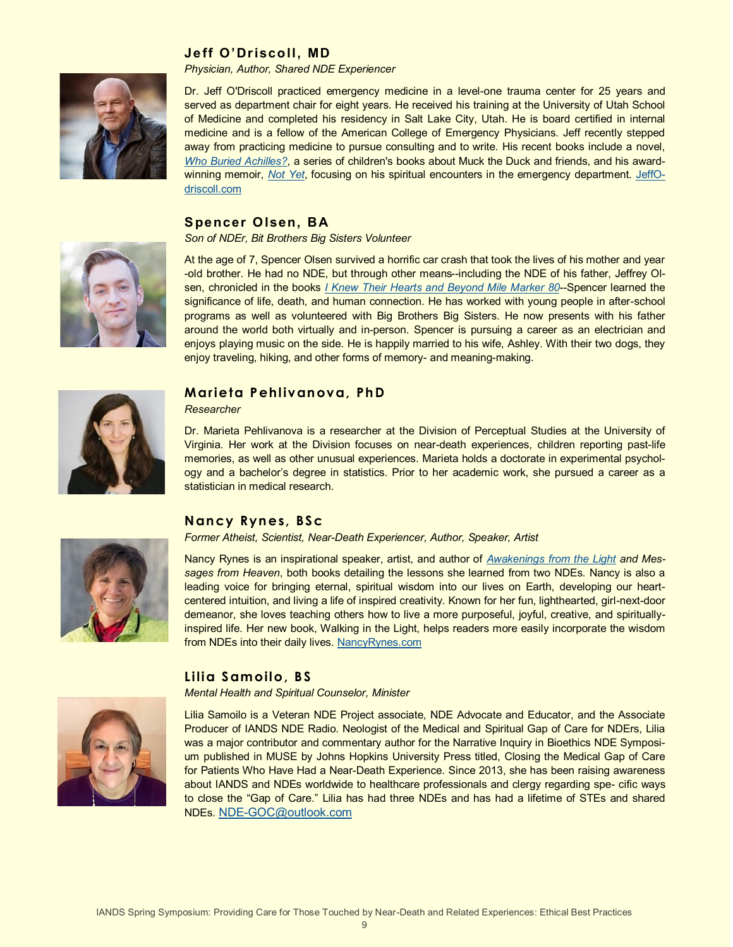# **Je ff O'Driscoll, MD**



#### *Physician, Author, Shared NDE Experiencer*

Dr. Jeff O'Driscoll practiced emergency medicine in a level-one trauma center for 25 years and served as department chair for eight years. He received his training at the University of Utah School of Medicine and completed his residency in Salt Lake City, Utah. He is board certified in internal medicine and is a fellow of the American College of Emergency Physicians. Jeff recently stepped away from practicing medicine to pursue consulting and to write. His recent books include a novel, *[Who Buried Achilles?](https://www.amazon.com/Who-Buried-Achilles-Jeff-ODriscoll/dp/0998610232)*, a series of children's books about Muck the Duck and friends, and his awardwinning memoir, *[Not Yet](https://www.amazon.com/Not-Yet-Jeff-ODriscoll-MD/dp/0998610275/ref=sr_1_2?dchild=1&keywords=Not+Yet&qid=1612347500&s=books&sr=1-2)*, focusing on his spiritual encounters in the emergency department. [JeffO](https://www.jeffodriscoll.com/)[driscoll.com](https://www.jeffodriscoll.com/)

#### **S pencer Olsen, BA**



At the age of 7, Spencer Olsen survived a horrific car crash that took the lives of his mother and year -old brother. He had no NDE, but through other means--including the NDE of his father, Jeffrey Olsen, chronicled in the books *[I Knew Their Hearts and Beyond Mile Marker 80](https://www.amazon.com/Beyond-Mile-Marker-80-Choosing/dp/1462113982)*--Spencer learned the significance of life, death, and human connection. He has worked with young people in after-school programs as well as volunteered with Big Brothers Big Sisters. He now presents with his father around the world both virtually and in-person. Spencer is pursuing a career as an electrician and enjoys playing music on the side. He is happily married to his wife, Ashley. With their two dogs, they enjoy traveling, hiking, and other forms of memory- and meaning-making.



#### **Marieta Pehlivan ova, Ph D**

*Researcher*

Dr. Marieta Pehlivanova is a researcher at the Division of Perceptual Studies at the University of Virginia. Her work at the Division focuses on near-death experiences, children reporting past-life memories, as well as other unusual experiences. Marieta holds a doctorate in experimental psychology and a bachelor's degree in statistics. Prior to her academic work, she pursued a career as a statistician in medical research.

#### **Nan cy Ryn es, BSc**

*Former Atheist, Scientist, Near-Death Experiencer, Author, Speaker, Artist*

Nancy Rynes is an inspirational speaker, artist, and author of *[Awakenings from the Light](https://www.amazon.com/Awakenings-Light-Lessons-Death-Experience/dp/1508453748) and Messages from Heaven*, both books detailing the lessons she learned from two NDEs. Nancy is also a leading voice for bringing eternal, spiritual wisdom into our lives on Earth, developing our heartcentered intuition, and living a life of inspired creativity. Known for her fun, lighthearted, girl-next-door demeanor, she loves teaching others how to live a more purposeful, joyful, creative, and spirituallyinspired life. Her new book, Walking in the Light, helps readers more easily incorporate the wisdom from NDEs into their daily lives. [NancyRynes.com](http://nancyrynes.com)

# **Lilia Samoilo, BS**

*Mental Health and Spiritual Counselor, Minister*



Lilia Samoilo is a Veteran NDE Project associate, NDE Advocate and Educator, and the Associate Producer of IANDS NDE Radio. Neologist of the Medical and Spiritual Gap of Care for NDErs, Lilia was a major contributor and commentary author for the Narrative Inquiry in Bioethics NDE Symposium published in MUSE by Johns Hopkins University Press titled, Closing the Medical Gap of Care for Patients Who Have Had a Near-Death Experience. Since 2013, she has been raising awareness about IANDS and NDEs worldwide to healthcare professionals and clergy regarding spe- cific ways to close the "Gap of Care." Lilia has had three NDEs and has had a lifetime of STEs and shared NDEs. NDE-[GOC@outlook.com](mailto:NDE-GOC@outlook.com)